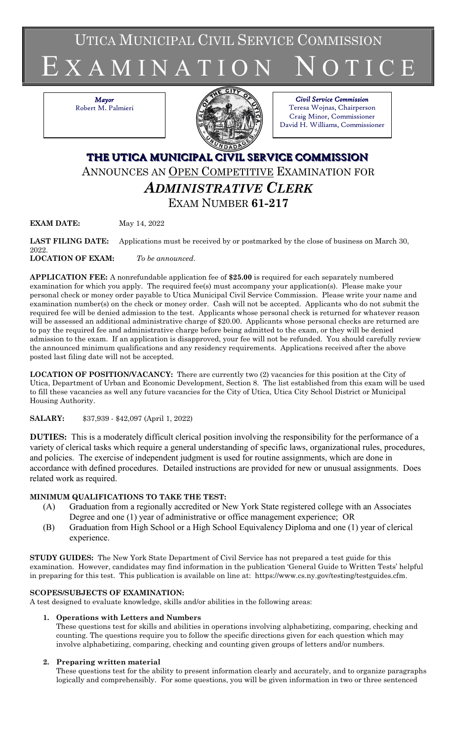UTICA MUNICIPAL CIVIL SERVICE COMMISSION

# E X A M I N A T I O N N O T I C E

*Mayor* Robert M. Palmieri



#### *Civil Service Commission* Teresa Wojnas, Chairperson Craig Minor, Commissioner David H. Williams, Commissioner

# **THE UTICA MUNICIPAL CIVIL SERVICE COMMISSION** ANNOUNCES AN OPEN COMPETITIVE EXAMINATION FOR *ADMINISTRATIVE CLERK* EXAM NUMBER **61-217**

**EXAM DATE:** May 14, 2022

LAST FILING DATE: Applications must be received by or postmarked by the close of business on March 30, 2022. **LOCATION OF EXAM:** *To be announced*.

**APPLICATION FEE:** A nonrefundable application fee of **\$25.00** is required for each separately numbered examination for which you apply. The required fee(s) must accompany your application(s). Please make your personal check or money order payable to Utica Municipal Civil Service Commission. Please write your name and examination number(s) on the check or money order. Cash will not be accepted. Applicants who do not submit the required fee will be denied admission to the test. Applicants whose personal check is returned for whatever reason will be assessed an additional administrative charge of \$20.00. Applicants whose personal checks are returned are

to pay the required fee and administrative charge before being admitted to the exam, or they will be denied admission to the exam. If an application is disapproved, your fee will not be refunded. You should carefully review the announced minimum qualifications and any residency requirements. Applications received after the above posted last filing date will not be accepted.

**LOCATION OF POSITION/VACANCY:** There are currently two (2) vacancies for this position at the City of Utica, Department of Urban and Economic Development, Section 8. The list established from this exam will be used to fill these vacancies as well any future vacancies for the City of Utica, Utica City School District or Municipal Housing Authority.

# **SALARY:** \$37,939 - \$42,097 (April 1, 2022)

**DUTIES:** This is a moderately difficult clerical position involving the responsibility for the performance of a variety of clerical tasks which require a general understanding of specific laws, organizational rules, procedures, and policies. The exercise of independent judgment is used for routine assignments, which are done in accordance with defined procedures. Detailed instructions are provided for new or unusual assignments. Does related work as required.

# **MINIMUM QUALIFICATIONS TO TAKE THE TEST:**

- (A) Graduation from a regionally accredited or New York State registered college with an Associates Degree and one (1) year of administrative or office management experience; OR
- (B) Graduation from High School or a High School Equivalency Diploma and one (1) year of clerical experience.

**STUDY GUIDES:** The New York State Department of Civil Service has not prepared a test guide for this examination. However, candidates may find information in the publication 'General Guide to Written Tests' helpful in preparing for this test. This publication is available on line at: https://www.cs.ny.gov/testing/testguides.cfm.

# **SCOPES/SUBJECTS OF EXAMINATION:**

A test designed to evaluate knowledge, skills and/or abilities in the following areas:

# **1. Operations with Letters and Numbers**

These questions test for skills and abilities in operations involving alphabetizing, comparing, checking and counting. The questions require you to follow the specific directions given for each question which may involve alphabetizing, comparing, checking and counting given groups of letters and/or numbers.

# **2. Preparing written material**

These questions test for the ability to present information clearly and accurately, and to organize paragraphs logically and comprehensibly. For some questions, you will be given information in two or three sentenced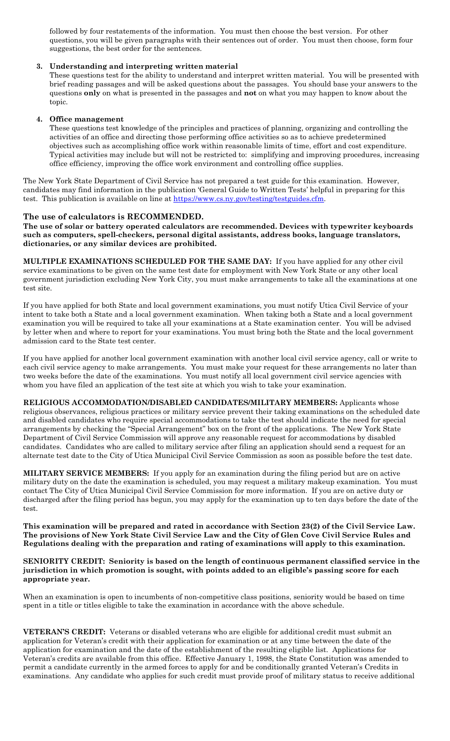followed by four restatements of the information. You must then choose the best version. For other questions, you will be given paragraphs with their sentences out of order. You must then choose, form four suggestions, the best order for the sentences.

#### **3. Understanding and interpreting written material**

These questions test for the ability to understand and interpret written material. You will be presented with brief reading passages and will be asked questions about the passages. You should base your answers to the questions **only** on what is presented in the passages and **not** on what you may happen to know about the topic.

#### **4. Office management**

These questions test knowledge of the principles and practices of planning, organizing and controlling the activities of an office and directing those performing office activities so as to achieve predetermined objectives such as accomplishing office work within reasonable limits of time, effort and cost expenditure. Typical activities may include but will not be restricted to: simplifying and improving procedures, increasing office efficiency, improving the office work environment and controlling office supplies.

The New York State Department of Civil Service has not prepared a test guide for this examination. However, candidates may find information in the publication 'General Guide to Written Tests' helpful in preparing for this test. This publication is available on line at [https://www.cs.ny.gov/testing/testguides.cfm.](https://www.cs.ny.gov/testing/testguides.cfm)

#### **The use of calculators is RECOMMENDED.**

**The use of solar or battery operated calculators are recommended. Devices with typewriter keyboards such as computers, spell-checkers, personal digital assistants, address books, language translators, dictionaries, or any similar devices are prohibited.**

**MULTIPLE EXAMINATIONS SCHEDULED FOR THE SAME DAY:** If you have applied for any other civil service examinations to be given on the same test date for employment with New York State or any other local government jurisdiction excluding New York City, you must make arrangements to take all the examinations at one test site.

If you have applied for both State and local government examinations, you must notify Utica Civil Service of your intent to take both a State and a local government examination. When taking both a State and a local government examination you will be required to take all your examinations at a State examination center. You will be advised by letter when and where to report for your examinations. You must bring both the State and the local government admission card to the State test center.

If you have applied for another local government examination with another local civil service agency, call or write to each civil service agency to make arrangements. You must make your request for these arrangements no later than two weeks before the date of the examinations. You must notify all local government civil service agencies with whom you have filed an application of the test site at which you wish to take your examination.

**RELIGIOUS ACCOMMODATION/DISABLED CANDIDATES/MILITARY MEMBERS:** Applicants whose religious observances, religious practices or military service prevent their taking examinations on the scheduled date and disabled candidates who require special accommodations to take the test should indicate the need for special arrangements by checking the "Special Arrangement" box on the front of the applications. The New York State Department of Civil Service Commission will approve any reasonable request for accommodations by disabled candidates. Candidates who are called to military service after filing an application should send a request for an alternate test date to the City of Utica Municipal Civil Service Commission as soon as possible before the test date.

**MILITARY SERVICE MEMBERS:** If you apply for an examination during the filing period but are on active military duty on the date the examination is scheduled, you may request a military makeup examination. You must contact The City of Utica Municipal Civil Service Commission for more information. If you are on active duty or discharged after the filing period has begun, you may apply for the examination up to ten days before the date of the test.

**This examination will be prepared and rated in accordance with Section 23(2) of the Civil Service Law. The provisions of New York State Civil Service Law and the City of Glen Cove Civil Service Rules and Regulations dealing with the preparation and rating of examinations will apply to this examination.**

#### **SENIORITY CREDIT: Seniority is based on the length of continuous permanent classified service in the jurisdiction in which promotion is sought, with points added to an eligible's passing score for each appropriate year.**

When an examination is open to incumbents of non-competitive class positions, seniority would be based on time spent in a title or titles eligible to take the examination in accordance with the above schedule.

**VETERAN'S CREDIT:** Veterans or disabled veterans who are eligible for additional credit must submit an application for Veteran's credit with their application for examination or at any time between the date of the application for examination and the date of the establishment of the resulting eligible list. Applications for Veteran's credits are available from this office. Effective January 1, 1998, the State Constitution was amended to permit a candidate currently in the armed forces to apply for and be conditionally granted Veteran's Credits in examinations. Any candidate who applies for such credit must provide proof of military status to receive additional